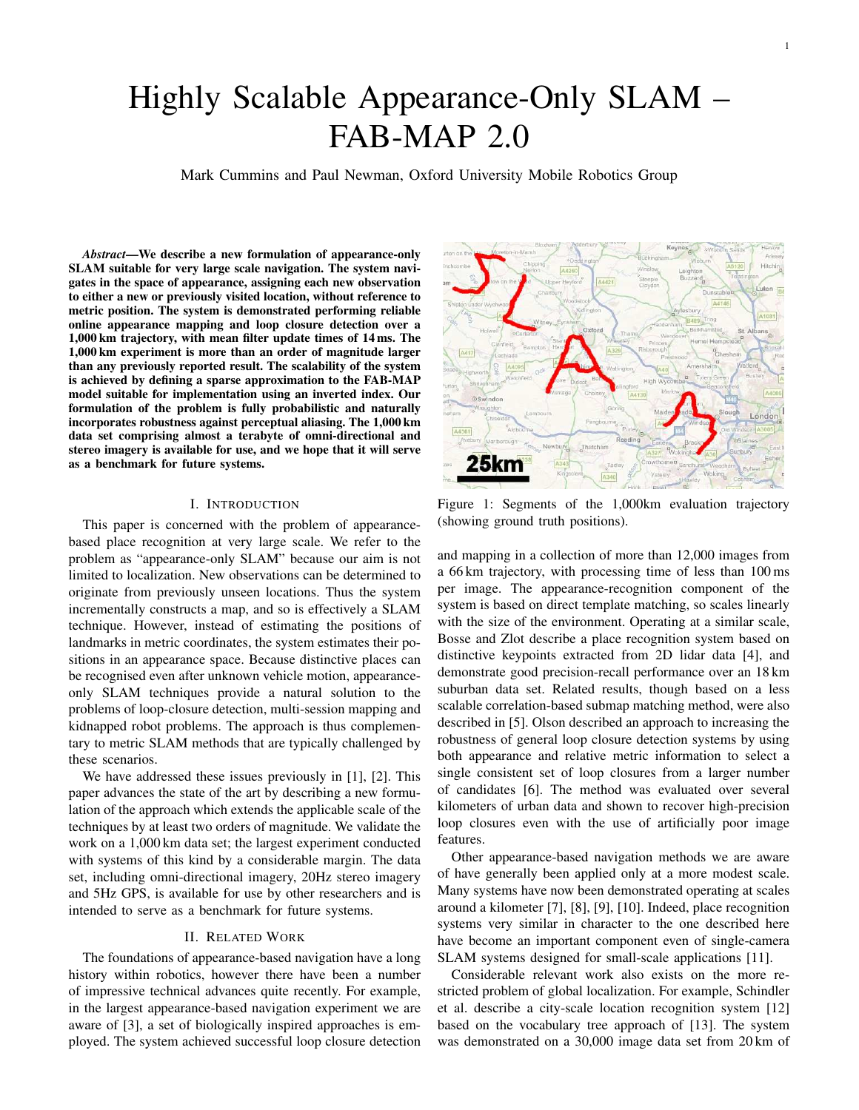# Highly Scalable Appearance-Only SLAM – FAB-MAP 2.0

Mark Cummins and Paul Newman, Oxford University Mobile Robotics Group

*Abstract*—We describe a new formulation of appearance-only SLAM suitable for very large scale navigation. The system navigates in the space of appearance, assigning each new observation to either a new or previously visited location, without reference to metric position. The system is demonstrated performing reliable online appearance mapping and loop closure detection over a 1,000 km trajectory, with mean filter update times of 14 ms. The 1,000 km experiment is more than an order of magnitude larger than any previously reported result. The scalability of the system is achieved by defining a sparse approximation to the FAB-MAP model suitable for implementation using an inverted index. Our formulation of the problem is fully probabilistic and naturally incorporates robustness against perceptual aliasing. The 1,000 km data set comprising almost a terabyte of omni-directional and stereo imagery is available for use, and we hope that it will serve as a benchmark for future systems.

## I. INTRODUCTION

This paper is concerned with the problem of appearancebased place recognition at very large scale. We refer to the problem as "appearance-only SLAM" because our aim is not limited to localization. New observations can be determined to originate from previously unseen locations. Thus the system incrementally constructs a map, and so is effectively a SLAM technique. However, instead of estimating the positions of landmarks in metric coordinates, the system estimates their positions in an appearance space. Because distinctive places can be recognised even after unknown vehicle motion, appearanceonly SLAM techniques provide a natural solution to the problems of loop-closure detection, multi-session mapping and kidnapped robot problems. The approach is thus complementary to metric SLAM methods that are typically challenged by these scenarios.

We have addressed these issues previously in [1], [2]. This paper advances the state of the art by describing a new formulation of the approach which extends the applicable scale of the techniques by at least two orders of magnitude. We validate the work on a 1,000 km data set; the largest experiment conducted with systems of this kind by a considerable margin. The data set, including omni-directional imagery, 20Hz stereo imagery and 5Hz GPS, is available for use by other researchers and is intended to serve as a benchmark for future systems.

#### II. RELATED WORK

The foundations of appearance-based navigation have a long history within robotics, however there have been a number of impressive technical advances quite recently. For example, in the largest appearance-based navigation experiment we are aware of [3], a set of biologically inspired approaches is employed. The system achieved successful loop closure detection



Figure 1: Segments of the 1,000km evaluation trajectory (showing ground truth positions).

and mapping in a collection of more than 12,000 images from a 66 km trajectory, with processing time of less than 100 ms per image. The appearance-recognition component of the system is based on direct template matching, so scales linearly with the size of the environment. Operating at a similar scale, Bosse and Zlot describe a place recognition system based on distinctive keypoints extracted from 2D lidar data [4], and demonstrate good precision-recall performance over an 18 km suburban data set. Related results, though based on a less scalable correlation-based submap matching method, were also described in [5]. Olson described an approach to increasing the robustness of general loop closure detection systems by using both appearance and relative metric information to select a single consistent set of loop closures from a larger number of candidates [6]. The method was evaluated over several kilometers of urban data and shown to recover high-precision loop closures even with the use of artificially poor image features.

Other appearance-based navigation methods we are aware of have generally been applied only at a more modest scale. Many systems have now been demonstrated operating at scales around a kilometer [7], [8], [9], [10]. Indeed, place recognition systems very similar in character to the one described here have become an important component even of single-camera SLAM systems designed for small-scale applications [11].

Considerable relevant work also exists on the more restricted problem of global localization. For example, Schindler et al. describe a city-scale location recognition system [12] based on the vocabulary tree approach of [13]. The system was demonstrated on a 30,000 image data set from 20 km of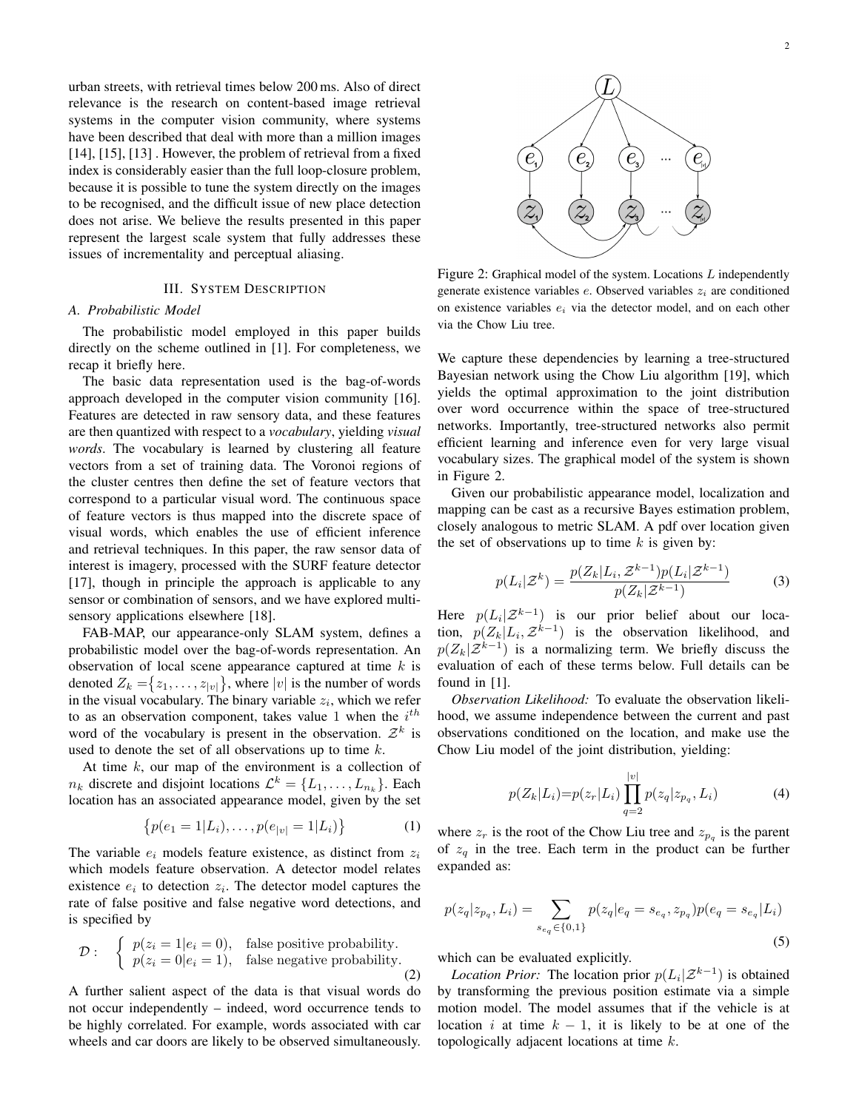urban streets, with retrieval times below 200 ms. Also of direct relevance is the research on content-based image retrieval systems in the computer vision community, where systems have been described that deal with more than a million images [14], [15], [13]. However, the problem of retrieval from a fixed index is considerably easier than the full loop-closure problem, because it is possible to tune the system directly on the images to be recognised, and the difficult issue of new place detection does not arise. We believe the results presented in this paper represent the largest scale system that fully addresses these issues of incrementality and perceptual aliasing.

## III. SYSTEM DESCRIPTION

## *A. Probabilistic Model*

The probabilistic model employed in this paper builds directly on the scheme outlined in [1]. For completeness, we recap it briefly here.

The basic data representation used is the bag-of-words approach developed in the computer vision community [16]. Features are detected in raw sensory data, and these features are then quantized with respect to a *vocabulary*, yielding *visual words*. The vocabulary is learned by clustering all feature vectors from a set of training data. The Voronoi regions of the cluster centres then define the set of feature vectors that correspond to a particular visual word. The continuous space of feature vectors is thus mapped into the discrete space of visual words, which enables the use of efficient inference and retrieval techniques. In this paper, the raw sensor data of interest is imagery, processed with the SURF feature detector [17], though in principle the approach is applicable to any sensor or combination of sensors, and we have explored multisensory applications elsewhere [18].

FAB-MAP, our appearance-only SLAM system, defines a probabilistic model over the bag-of-words representation. An observation of local scene appearance captured at time  $k$  is denoted  $Z_k = \{z_1, \ldots, z_{|v|}\}\$ , where  $|v|$  is the number of words in the visual vocabulary. The binary variable  $z_i$ , which we refer to as an observation component, takes value 1 when the  $i^{th}$ word of the vocabulary is present in the observation.  $\mathcal{Z}^k$  is used to denote the set of all observations up to time  $k$ .

At time  $k$ , our map of the environment is a collection of  $n_k$  discrete and disjoint locations  $\mathcal{L}^k = \{L_1, \ldots, L_{n_k}\}\.$  Each location has an associated appearance model, given by the set

$$
\{p(e_1 = 1|L_i), \dots, p(e_{|v|} = 1|L_i)\}\tag{1}
$$

The variable  $e_i$  models feature existence, as distinct from  $z_i$ which models feature observation. A detector model relates existence  $e_i$  to detection  $z_i$ . The detector model captures the rate of false positive and false negative word detections, and is specified by

$$
\mathcal{D}: \begin{cases} p(z_i = 1 | e_i = 0), & \text{false positive probability.} \\ p(z_i = 0 | e_i = 1), & \text{false negative probability.} \end{cases}
$$
 (2)

A further salient aspect of the data is that visual words do not occur independently – indeed, word occurrence tends to be highly correlated. For example, words associated with car wheels and car doors are likely to be observed simultaneously.



Figure 2: Graphical model of the system. Locations L independently generate existence variables  $e$ . Observed variables  $z_i$  are conditioned on existence variables  $e_i$  via the detector model, and on each other via the Chow Liu tree.

We capture these dependencies by learning a tree-structured Bayesian network using the Chow Liu algorithm [19], which yields the optimal approximation to the joint distribution over word occurrence within the space of tree-structured networks. Importantly, tree-structured networks also permit efficient learning and inference even for very large visual vocabulary sizes. The graphical model of the system is shown in Figure 2.

Given our probabilistic appearance model, localization and mapping can be cast as a recursive Bayes estimation problem, closely analogous to metric SLAM. A pdf over location given the set of observations up to time  $k$  is given by:

$$
p(L_i|\mathcal{Z}^k) = \frac{p(Z_k|L_i, \mathcal{Z}^{k-1})p(L_i|\mathcal{Z}^{k-1})}{p(Z_k|\mathcal{Z}^{k-1})}
$$
(3)

Here  $p(L_i|\mathcal{Z}^{k-1})$  is our prior belief about our location,  $p(Z_k | L_i, \mathcal{Z}^{k-1})$  is the observation likelihood, and  $p(Z_k|Z^{k-1})$  is a normalizing term. We briefly discuss the evaluation of each of these terms below. Full details can be found in [1].

*Observation Likelihood:* To evaluate the observation likelihood, we assume independence between the current and past observations conditioned on the location, and make use the Chow Liu model of the joint distribution, yielding:

$$
p(Z_k|L_i) = p(z_r|L_i) \prod_{q=2}^{|v|} p(z_q|z_{p_q}, L_i)
$$
 (4)

where  $z_r$  is the root of the Chow Liu tree and  $z_{p_q}$  is the parent of  $z_q$  in the tree. Each term in the product can be further expanded as:

$$
p(z_q|z_{p_q}, L_i) = \sum_{s_{e_q} \in \{0, 1\}} p(z_q|e_q = s_{e_q}, z_{p_q}) p(e_q = s_{e_q} | L_i)
$$
\n(5)

which can be evaluated explicitly.

*Location Prior:* The location prior  $p(L_i | \mathcal{Z}^{k-1})$  is obtained by transforming the previous position estimate via a simple motion model. The model assumes that if the vehicle is at location i at time  $k - 1$ , it is likely to be at one of the topologically adjacent locations at time k.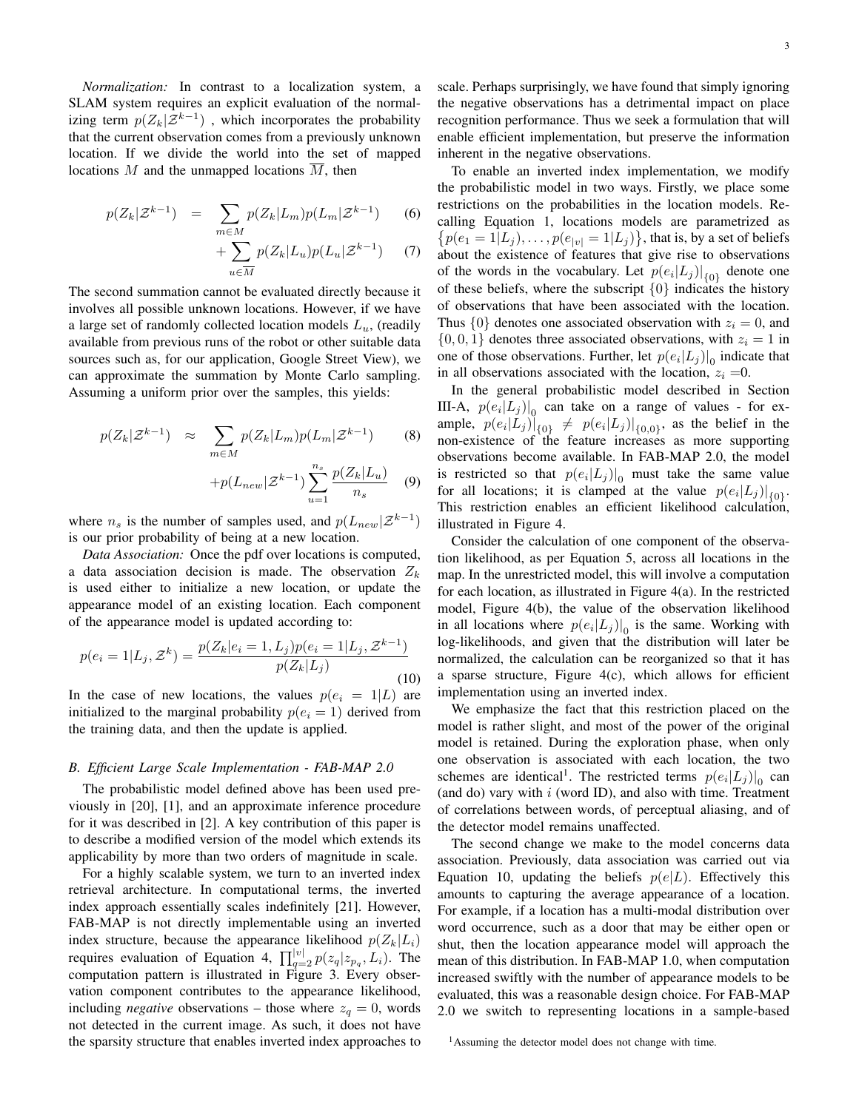*Normalization:* In contrast to a localization system, a SLAM system requires an explicit evaluation of the normalizing term  $p(Z_k|Z^{k-1})$ , which incorporates the probability that the current observation comes from a previously unknown location. If we divide the world into the set of mapped locations M and the unmapped locations  $\overline{M}$ , then

$$
p(Z_k|Z^{k-1}) = \sum_{m \in M} p(Z_k|L_m)p(L_m|Z^{k-1}) \qquad (6)
$$

$$
+\sum_{u\in\overline{M}} p(Z_k|L_u)p(L_u|\mathcal{Z}^{k-1})\qquad(7)
$$

The second summation cannot be evaluated directly because it involves all possible unknown locations. However, if we have a large set of randomly collected location models  $L<sub>u</sub>$ , (readily available from previous runs of the robot or other suitable data sources such as, for our application, Google Street View), we can approximate the summation by Monte Carlo sampling. Assuming a uniform prior over the samples, this yields:

$$
p(Z_k|\mathcal{Z}^{k-1}) \approx \sum_{m \in M} p(Z_k|L_m)p(L_m|\mathcal{Z}^{k-1}) \qquad (8)
$$

$$
+p(L_{new}|\mathcal{Z}^{k-1})\sum_{u=1}^{n_s}\frac{p(Z_k|L_u)}{n_s}
$$
 (9)

where  $n_s$  is the number of samples used, and  $p(L_{new} | \mathcal{Z}^{k-1})$ is our prior probability of being at a new location.

*Data Association:* Once the pdf over locations is computed, a data association decision is made. The observation  $Z_k$ is used either to initialize a new location, or update the appearance model of an existing location. Each component of the appearance model is updated according to:

$$
p(e_i = 1 | L_j, \mathcal{Z}^k) = \frac{p(Z_k | e_i = 1, L_j)p(e_i = 1 | L_j, \mathcal{Z}^{k-1})}{p(Z_k | L_j)}
$$
(10)

In the case of new locations, the values  $p(e_i = 1|L)$  are initialized to the marginal probability  $p(e_i = 1)$  derived from the training data, and then the update is applied.

### *B. Efficient Large Scale Implementation - FAB-MAP 2.0*

The probabilistic model defined above has been used previously in [20], [1], and an approximate inference procedure for it was described in [2]. A key contribution of this paper is to describe a modified version of the model which extends its applicability by more than two orders of magnitude in scale.

For a highly scalable system, we turn to an inverted index retrieval architecture. In computational terms, the inverted index approach essentially scales indefinitely [21]. However, FAB-MAP is not directly implementable using an inverted index structure, because the appearance likelihood  $p(Z_k|L_i)$ requires evaluation of Equation 4,  $\prod_{q=2}^{|v|} p(z_q | z_{p_q}, L_i)$ . The computation pattern is illustrated in Figure 3. Every observation component contributes to the appearance likelihood, including *negative* observations – those where  $z_q = 0$ , words not detected in the current image. As such, it does not have the sparsity structure that enables inverted index approaches to scale. Perhaps surprisingly, we have found that simply ignoring the negative observations has a detrimental impact on place recognition performance. Thus we seek a formulation that will enable efficient implementation, but preserve the information inherent in the negative observations.

To enable an inverted index implementation, we modify the probabilistic model in two ways. Firstly, we place some restrictions on the probabilities in the location models. Recalling Equation 1, locations models are parametrized as  $\{p(e_1 = 1 | L_j), \ldots, p(e_{|v|} = 1 | L_j)\}\$ , that is, by a set of beliefs about the existence of features that give rise to observations of the words in the vocabulary. Let  $p(e_i|L_j)|_{\{0\}}$  denote one of these beliefs, where the subscript  $\{0\}$  indicates the history of observations that have been associated with the location. Thus  $\{0\}$  denotes one associated observation with  $z_i = 0$ , and  $\{0, 0, 1\}$  denotes three associated observations, with  $z_i = 1$  in one of those observations. Further, let  $p(e_i|L_j)|_0$  indicate that in all observations associated with the location,  $z_i = 0$ .

In the general probabilistic model described in Section III-A,  $p(e_i|L_j)|_0$  can take on a range of values - for example,  $p(e_i|L_j)|_{\{0\}} \neq p(e_i|L_j)|_{\{0,0\}}$ , as the belief in the non-existence of the feature increases as more supporting observations become available. In FAB-MAP 2.0, the model is restricted so that  $p(e_i|L_j)|_0$  must take the same value for all locations; it is clamped at the value  $p(e_i|L_j)|_{\{0\}}$ . This restriction enables an efficient likelihood calculation, illustrated in Figure 4.

Consider the calculation of one component of the observation likelihood, as per Equation 5, across all locations in the map. In the unrestricted model, this will involve a computation for each location, as illustrated in Figure 4(a). In the restricted model, Figure 4(b), the value of the observation likelihood in all locations where  $p(e_i|L_j)|_0$  is the same. Working with log-likelihoods, and given that the distribution will later be normalized, the calculation can be reorganized so that it has a sparse structure, Figure 4(c), which allows for efficient implementation using an inverted index.

We emphasize the fact that this restriction placed on the model is rather slight, and most of the power of the original model is retained. During the exploration phase, when only one observation is associated with each location, the two schemes are identical<sup>1</sup>. The restricted terms  $p(e_i|L_j)|_0$  can (and do) vary with  $i$  (word ID), and also with time. Treatment of correlations between words, of perceptual aliasing, and of the detector model remains unaffected.

The second change we make to the model concerns data association. Previously, data association was carried out via Equation 10, updating the beliefs  $p(e|L)$ . Effectively this amounts to capturing the average appearance of a location. For example, if a location has a multi-modal distribution over word occurrence, such as a door that may be either open or shut, then the location appearance model will approach the mean of this distribution. In FAB-MAP 1.0, when computation increased swiftly with the number of appearance models to be evaluated, this was a reasonable design choice. For FAB-MAP 2.0 we switch to representing locations in a sample-based

<sup>1</sup>Assuming the detector model does not change with time.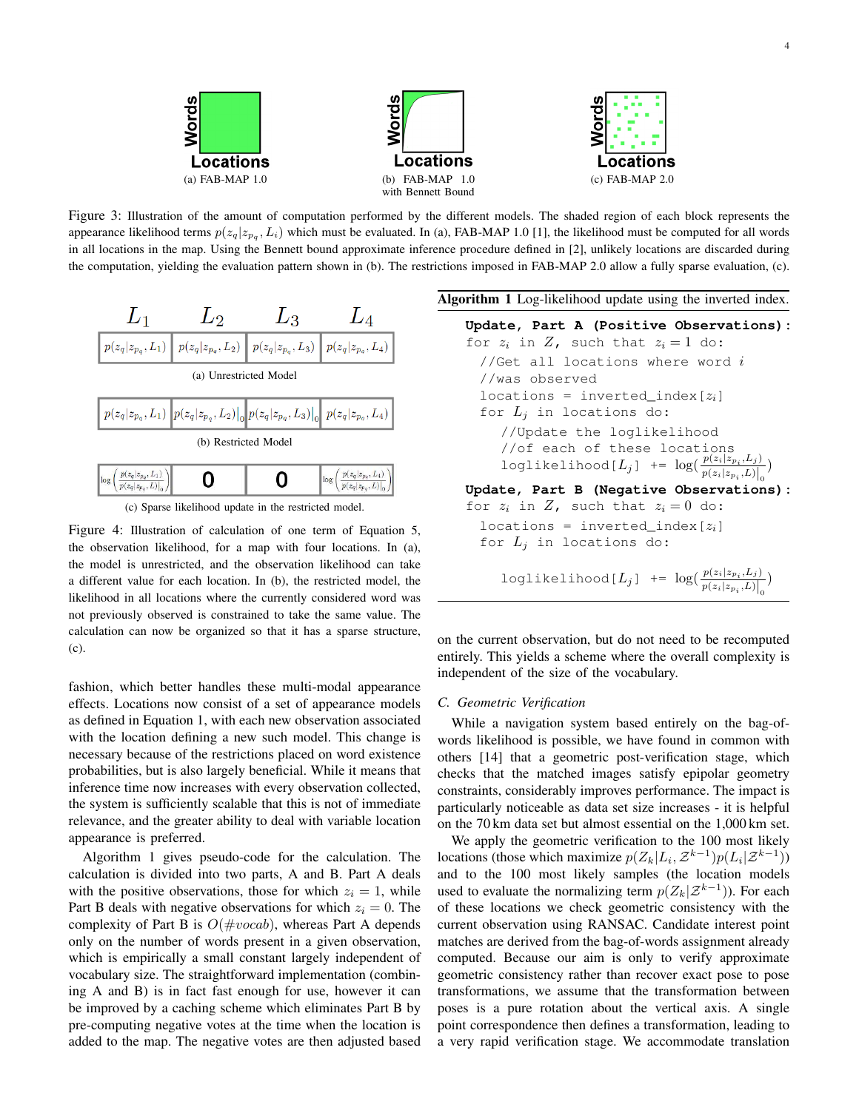

Figure 3: Illustration of the amount of computation performed by the different models. The shaded region of each block represents the appearance likelihood terms  $p(z_q|z_{p_q}, L_i)$  which must be evaluated. In (a), FAB-MAP 1.0 [1], the likelihood must be computed for all words in all locations in the map. Using the Bennett bound approximate inference procedure defined in [2], unlikely locations are discarded during the computation, yielding the evaluation pattern shown in (b). The restrictions imposed in FAB-MAP 2.0 allow a fully sparse evaluation, (c).



(c) Sparse likelihood update in the restricted model.

Figure 4: Illustration of calculation of one term of Equation 5, the observation likelihood, for a map with four locations. In (a), the model is unrestricted, and the observation likelihood can take a different value for each location. In (b), the restricted model, the likelihood in all locations where the currently considered word was not previously observed is constrained to take the same value. The calculation can now be organized so that it has a sparse structure, (c).

fashion, which better handles these multi-modal appearance effects. Locations now consist of a set of appearance models as defined in Equation 1, with each new observation associated with the location defining a new such model. This change is necessary because of the restrictions placed on word existence probabilities, but is also largely beneficial. While it means that inference time now increases with every observation collected, the system is sufficiently scalable that this is not of immediate relevance, and the greater ability to deal with variable location appearance is preferred.

Algorithm 1 gives pseudo-code for the calculation. The calculation is divided into two parts, A and B. Part A deals with the positive observations, those for which  $z_i = 1$ , while Part B deals with negative observations for which  $z_i = 0$ . The complexity of Part B is  $O(\text{#}vocab)$ , whereas Part A depends only on the number of words present in a given observation, which is empirically a small constant largely independent of vocabulary size. The straightforward implementation (combining A and B) is in fact fast enough for use, however it can be improved by a caching scheme which eliminates Part B by pre-computing negative votes at the time when the location is added to the map. The negative votes are then adjusted based Algorithm 1 Log-likelihood update using the inverted index. **Update, Part A (Positive Observations):** for  $z_i$  in  $Z$ , such that  $z_i = 1$  do: //Get all locations where word  $i$ //was observed locations = inverted index $[z_i]$ for  $L_j$  in locations do: //Update the loglikelihood //of each of these locations loglikelihood[ $L_j$ ] +=  $\log(\frac{p(z_i|z_{p_i},L_j)}{p(z_i|z_{p_i}-L_j)})$  $\frac{p(z_i|z_{p_i},L_j)}{p(z_i|z_{p_i},L)\Big|_0}$ **Update, Part B (Negative Observations):** for  $z_i$  in  $Z$ , such that  $z_i = 0$  do: locations = inverted index $[z_i]$ for  $L_j$  in locations do: loglikelihood[ $L_j$ ] +=  $\log(\frac{p(z_i|z_{p_i},L_j)}{p(z_i|z_{p_i}-L_j)})$  $\frac{p(z_i|z_{p_i},L_j)}{p(z_i|z_{p_i},L)\Big|_0}$ 

on the current observation, but do not need to be recomputed entirely. This yields a scheme where the overall complexity is independent of the size of the vocabulary.

# *C. Geometric Verification*

While a navigation system based entirely on the bag-ofwords likelihood is possible, we have found in common with others [14] that a geometric post-verification stage, which checks that the matched images satisfy epipolar geometry constraints, considerably improves performance. The impact is particularly noticeable as data set size increases - it is helpful on the 70 km data set but almost essential on the 1,000 km set.

We apply the geometric verification to the 100 most likely locations (those which maximize  $p(Z_k|L_i, \mathcal{Z}^{k-1})p(L_i|\mathcal{Z}^{k-1}))$ and to the 100 most likely samples (the location models used to evaluate the normalizing term  $p(Z_k|Z^{k-1})$ ). For each of these locations we check geometric consistency with the current observation using RANSAC. Candidate interest point matches are derived from the bag-of-words assignment already computed. Because our aim is only to verify approximate geometric consistency rather than recover exact pose to pose transformations, we assume that the transformation between poses is a pure rotation about the vertical axis. A single point correspondence then defines a transformation, leading to a very rapid verification stage. We accommodate translation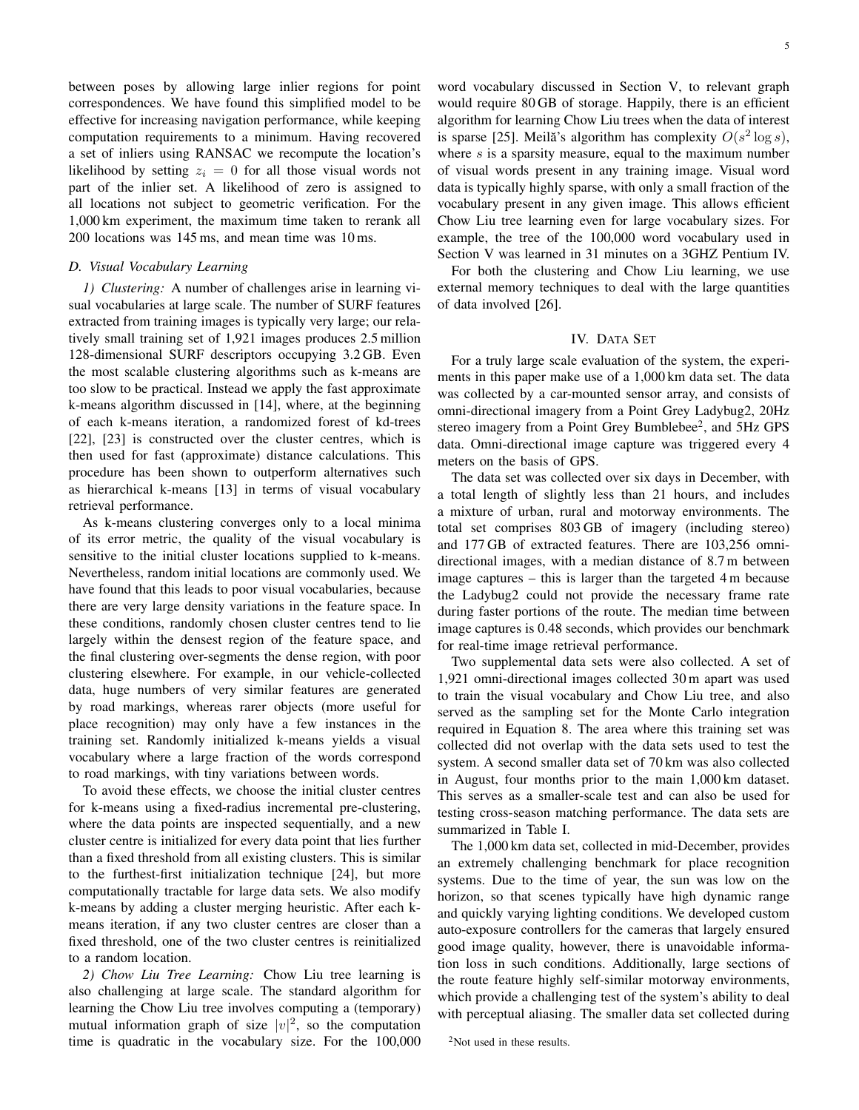between poses by allowing large inlier regions for point correspondences. We have found this simplified model to be effective for increasing navigation performance, while keeping computation requirements to a minimum. Having recovered a set of inliers using RANSAC we recompute the location's likelihood by setting  $z_i = 0$  for all those visual words not part of the inlier set. A likelihood of zero is assigned to all locations not subject to geometric verification. For the 1,000 km experiment, the maximum time taken to rerank all 200 locations was 145 ms, and mean time was 10 ms.

#### *D. Visual Vocabulary Learning*

*1) Clustering:* A number of challenges arise in learning visual vocabularies at large scale. The number of SURF features extracted from training images is typically very large; our relatively small training set of 1,921 images produces 2.5 million 128-dimensional SURF descriptors occupying 3.2 GB. Even the most scalable clustering algorithms such as k-means are too slow to be practical. Instead we apply the fast approximate k-means algorithm discussed in [14], where, at the beginning of each k-means iteration, a randomized forest of kd-trees [22], [23] is constructed over the cluster centres, which is then used for fast (approximate) distance calculations. This procedure has been shown to outperform alternatives such as hierarchical k-means [13] in terms of visual vocabulary retrieval performance.

As k-means clustering converges only to a local minima of its error metric, the quality of the visual vocabulary is sensitive to the initial cluster locations supplied to k-means. Nevertheless, random initial locations are commonly used. We have found that this leads to poor visual vocabularies, because there are very large density variations in the feature space. In these conditions, randomly chosen cluster centres tend to lie largely within the densest region of the feature space, and the final clustering over-segments the dense region, with poor clustering elsewhere. For example, in our vehicle-collected data, huge numbers of very similar features are generated by road markings, whereas rarer objects (more useful for place recognition) may only have a few instances in the training set. Randomly initialized k-means yields a visual vocabulary where a large fraction of the words correspond to road markings, with tiny variations between words.

To avoid these effects, we choose the initial cluster centres for k-means using a fixed-radius incremental pre-clustering, where the data points are inspected sequentially, and a new cluster centre is initialized for every data point that lies further than a fixed threshold from all existing clusters. This is similar to the furthest-first initialization technique [24], but more computationally tractable for large data sets. We also modify k-means by adding a cluster merging heuristic. After each kmeans iteration, if any two cluster centres are closer than a fixed threshold, one of the two cluster centres is reinitialized to a random location.

*2) Chow Liu Tree Learning:* Chow Liu tree learning is also challenging at large scale. The standard algorithm for learning the Chow Liu tree involves computing a (temporary) mutual information graph of size  $|v|^2$ , so the computation time is quadratic in the vocabulary size. For the 100,000 word vocabulary discussed in Section V, to relevant graph would require 80 GB of storage. Happily, there is an efficient algorithm for learning Chow Liu trees when the data of interest is sparse [25]. Meilă's algorithm has complexity  $O(s^2 \log s)$ , where  $s$  is a sparsity measure, equal to the maximum number of visual words present in any training image. Visual word data is typically highly sparse, with only a small fraction of the vocabulary present in any given image. This allows efficient Chow Liu tree learning even for large vocabulary sizes. For example, the tree of the 100,000 word vocabulary used in Section V was learned in 31 minutes on a 3GHZ Pentium IV.

For both the clustering and Chow Liu learning, we use external memory techniques to deal with the large quantities of data involved [26].

# IV. DATA SET

For a truly large scale evaluation of the system, the experiments in this paper make use of a 1,000 km data set. The data was collected by a car-mounted sensor array, and consists of omni-directional imagery from a Point Grey Ladybug2, 20Hz stereo imagery from a Point Grey Bumblebee<sup>2</sup>, and 5Hz GPS data. Omni-directional image capture was triggered every 4 meters on the basis of GPS.

The data set was collected over six days in December, with a total length of slightly less than 21 hours, and includes a mixture of urban, rural and motorway environments. The total set comprises 803 GB of imagery (including stereo) and 177 GB of extracted features. There are 103,256 omnidirectional images, with a median distance of 8.7 m between image captures – this is larger than the targeted 4 m because the Ladybug2 could not provide the necessary frame rate during faster portions of the route. The median time between image captures is 0.48 seconds, which provides our benchmark for real-time image retrieval performance.

Two supplemental data sets were also collected. A set of 1,921 omni-directional images collected 30 m apart was used to train the visual vocabulary and Chow Liu tree, and also served as the sampling set for the Monte Carlo integration required in Equation 8. The area where this training set was collected did not overlap with the data sets used to test the system. A second smaller data set of 70 km was also collected in August, four months prior to the main 1,000 km dataset. This serves as a smaller-scale test and can also be used for testing cross-season matching performance. The data sets are summarized in Table I.

The 1,000 km data set, collected in mid-December, provides an extremely challenging benchmark for place recognition systems. Due to the time of year, the sun was low on the horizon, so that scenes typically have high dynamic range and quickly varying lighting conditions. We developed custom auto-exposure controllers for the cameras that largely ensured good image quality, however, there is unavoidable information loss in such conditions. Additionally, large sections of the route feature highly self-similar motorway environments, which provide a challenging test of the system's ability to deal with perceptual aliasing. The smaller data set collected during

<sup>2</sup>Not used in these results.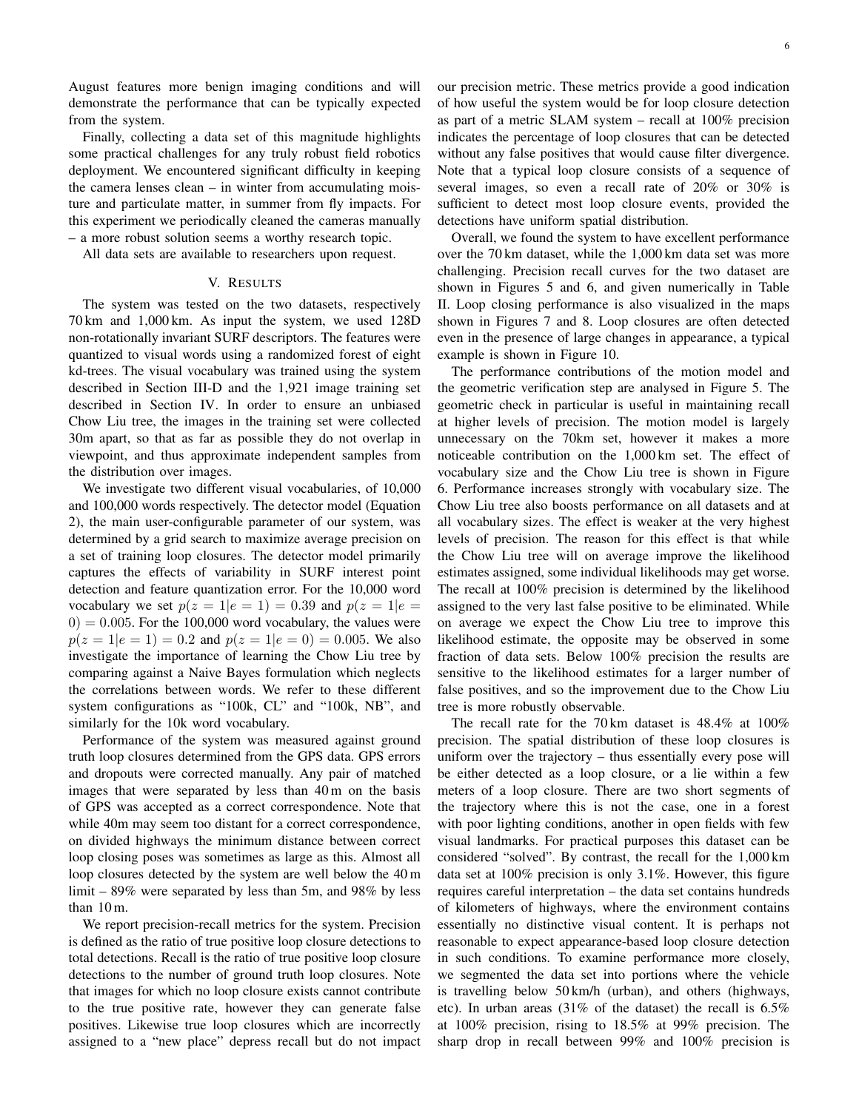August features more benign imaging conditions and will demonstrate the performance that can be typically expected from the system.

Finally, collecting a data set of this magnitude highlights some practical challenges for any truly robust field robotics deployment. We encountered significant difficulty in keeping the camera lenses clean – in winter from accumulating moisture and particulate matter, in summer from fly impacts. For this experiment we periodically cleaned the cameras manually – a more robust solution seems a worthy research topic.

All data sets are available to researchers upon request.

## V. RESULTS

The system was tested on the two datasets, respectively 70 km and 1,000 km. As input the system, we used 128D non-rotationally invariant SURF descriptors. The features were quantized to visual words using a randomized forest of eight kd-trees. The visual vocabulary was trained using the system described in Section III-D and the 1,921 image training set described in Section IV. In order to ensure an unbiased Chow Liu tree, the images in the training set were collected 30m apart, so that as far as possible they do not overlap in viewpoint, and thus approximate independent samples from the distribution over images.

We investigate two different visual vocabularies, of 10,000 and 100,000 words respectively. The detector model (Equation 2), the main user-configurable parameter of our system, was determined by a grid search to maximize average precision on a set of training loop closures. The detector model primarily captures the effects of variability in SURF interest point detection and feature quantization error. For the 10,000 word vocabulary we set  $p(z = 1|e = 1) = 0.39$  and  $p(z = 1|e = 1)$  $0 = 0.005$ . For the 100,000 word vocabulary, the values were  $p(z = 1|e = 1) = 0.2$  and  $p(z = 1|e = 0) = 0.005$ . We also investigate the importance of learning the Chow Liu tree by comparing against a Naive Bayes formulation which neglects the correlations between words. We refer to these different system configurations as "100k, CL" and "100k, NB", and similarly for the 10k word vocabulary.

Performance of the system was measured against ground truth loop closures determined from the GPS data. GPS errors and dropouts were corrected manually. Any pair of matched images that were separated by less than 40 m on the basis of GPS was accepted as a correct correspondence. Note that while 40m may seem too distant for a correct correspondence, on divided highways the minimum distance between correct loop closing poses was sometimes as large as this. Almost all loop closures detected by the system are well below the 40 m limit – 89% were separated by less than 5m, and 98% by less than 10 m.

We report precision-recall metrics for the system. Precision is defined as the ratio of true positive loop closure detections to total detections. Recall is the ratio of true positive loop closure detections to the number of ground truth loop closures. Note that images for which no loop closure exists cannot contribute to the true positive rate, however they can generate false positives. Likewise true loop closures which are incorrectly assigned to a "new place" depress recall but do not impact our precision metric. These metrics provide a good indication of how useful the system would be for loop closure detection as part of a metric SLAM system – recall at 100% precision indicates the percentage of loop closures that can be detected without any false positives that would cause filter divergence. Note that a typical loop closure consists of a sequence of several images, so even a recall rate of 20% or 30% is sufficient to detect most loop closure events, provided the detections have uniform spatial distribution.

Overall, we found the system to have excellent performance over the 70 km dataset, while the 1,000 km data set was more challenging. Precision recall curves for the two dataset are shown in Figures 5 and 6, and given numerically in Table II. Loop closing performance is also visualized in the maps shown in Figures 7 and 8. Loop closures are often detected even in the presence of large changes in appearance, a typical example is shown in Figure 10.

The performance contributions of the motion model and the geometric verification step are analysed in Figure 5. The geometric check in particular is useful in maintaining recall at higher levels of precision. The motion model is largely unnecessary on the 70km set, however it makes a more noticeable contribution on the 1,000 km set. The effect of vocabulary size and the Chow Liu tree is shown in Figure 6. Performance increases strongly with vocabulary size. The Chow Liu tree also boosts performance on all datasets and at all vocabulary sizes. The effect is weaker at the very highest levels of precision. The reason for this effect is that while the Chow Liu tree will on average improve the likelihood estimates assigned, some individual likelihoods may get worse. The recall at 100% precision is determined by the likelihood assigned to the very last false positive to be eliminated. While on average we expect the Chow Liu tree to improve this likelihood estimate, the opposite may be observed in some fraction of data sets. Below 100% precision the results are sensitive to the likelihood estimates for a larger number of false positives, and so the improvement due to the Chow Liu tree is more robustly observable.

The recall rate for the 70 km dataset is 48.4% at 100% precision. The spatial distribution of these loop closures is uniform over the trajectory – thus essentially every pose will be either detected as a loop closure, or a lie within a few meters of a loop closure. There are two short segments of the trajectory where this is not the case, one in a forest with poor lighting conditions, another in open fields with few visual landmarks. For practical purposes this dataset can be considered "solved". By contrast, the recall for the 1,000 km data set at 100% precision is only 3.1%. However, this figure requires careful interpretation – the data set contains hundreds of kilometers of highways, where the environment contains essentially no distinctive visual content. It is perhaps not reasonable to expect appearance-based loop closure detection in such conditions. To examine performance more closely, we segmented the data set into portions where the vehicle is travelling below 50 km/h (urban), and others (highways, etc). In urban areas (31% of the dataset) the recall is 6.5% at 100% precision, rising to 18.5% at 99% precision. The sharp drop in recall between 99% and 100% precision is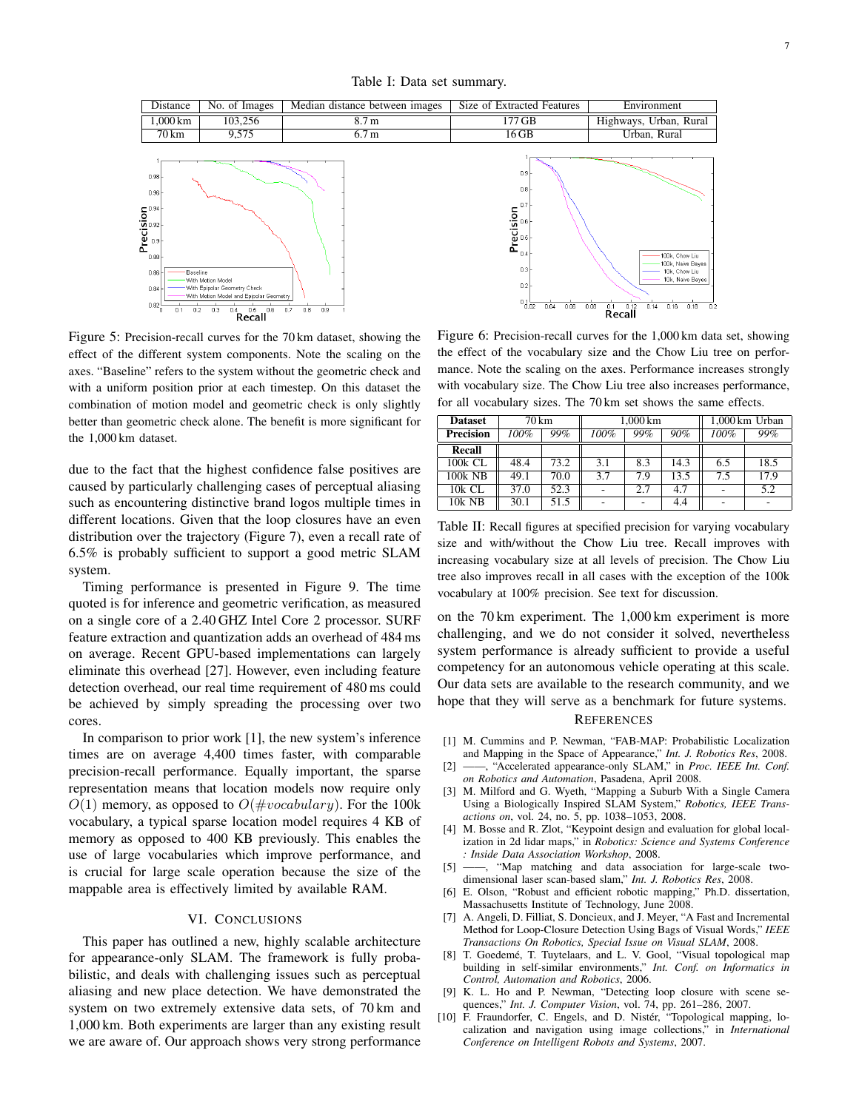Table I: Data set summary.



Figure 5: Precision-recall curves for the 70 km dataset, showing the effect of the different system components. Note the scaling on the axes. "Baseline" refers to the system without the geometric check and with a uniform position prior at each timestep. On this dataset the combination of motion model and geometric check is only slightly better than geometric check alone. The benefit is more significant for the 1,000 km dataset.

due to the fact that the highest confidence false positives are caused by particularly challenging cases of perceptual aliasing such as encountering distinctive brand logos multiple times in different locations. Given that the loop closures have an even distribution over the trajectory (Figure 7), even a recall rate of 6.5% is probably sufficient to support a good metric SLAM system.

Timing performance is presented in Figure 9. The time quoted is for inference and geometric verification, as measured on a single core of a 2.40 GHZ Intel Core 2 processor. SURF feature extraction and quantization adds an overhead of 484 ms on average. Recent GPU-based implementations can largely eliminate this overhead [27]. However, even including feature detection overhead, our real time requirement of 480 ms could be achieved by simply spreading the processing over two cores.

In comparison to prior work [1], the new system's inference times are on average 4,400 times faster, with comparable precision-recall performance. Equally important, the sparse representation means that location models now require only  $O(1)$  memory, as opposed to  $O(\text{\#vocabulary})$ . For the 100k vocabulary, a typical sparse location model requires 4 KB of memory as opposed to 400 KB previously. This enables the use of large vocabularies which improve performance, and is crucial for large scale operation because the size of the mappable area is effectively limited by available RAM.

# VI. CONCLUSIONS

This paper has outlined a new, highly scalable architecture for appearance-only SLAM. The framework is fully probabilistic, and deals with challenging issues such as perceptual aliasing and new place detection. We have demonstrated the system on two extremely extensive data sets, of 70 km and 1,000 km. Both experiments are larger than any existing result we are aware of. Our approach shows very strong performance

Figure 6: Precision-recall curves for the 1,000 km data set, showing the effect of the vocabulary size and the Chow Liu tree on performance. Note the scaling on the axes. Performance increases strongly with vocabulary size. The Chow Liu tree also increases performance, for all vocabulary sizes. The 70 km set shows the same effects.

| <b>Dataset</b>   | 70 km |      | 1.000 km |     |      | 1.000 km Urban |                  |
|------------------|-------|------|----------|-----|------|----------------|------------------|
| <b>Precision</b> | 100%  | 99%  | 100%     | 99% | 90%  | 100%           | 99%              |
| Recall           |       |      |          |     |      |                |                  |
| 100k CL          | 48.4  | 73.2 | 3.1      | 8.3 | 14.3 | 6.5            | 18.5             |
| $100k$ NB        | 49.1  | 70.0 | 3.7      | 7.9 | 13.5 | 7.5            | 17.9             |
| 10k CL           | 37.0  | 52.3 |          | 2.7 | 4.7  |                | $\overline{5.2}$ |
| $10k$ NB         | 30.1  | 51.5 |          |     | 4.4  |                |                  |

Table II: Recall figures at specified precision for varying vocabulary size and with/without the Chow Liu tree. Recall improves with increasing vocabulary size at all levels of precision. The Chow Liu tree also improves recall in all cases with the exception of the 100k vocabulary at 100% precision. See text for discussion.

on the 70 km experiment. The 1,000 km experiment is more challenging, and we do not consider it solved, nevertheless system performance is already sufficient to provide a useful competency for an autonomous vehicle operating at this scale. Our data sets are available to the research community, and we hope that they will serve as a benchmark for future systems.

#### **REFERENCES**

- [1] M. Cummins and P. Newman, "FAB-MAP: Probabilistic Localization and Mapping in the Space of Appearance," *Int. J. Robotics Res*, 2008.
- [2] ——, "Accelerated appearance-only SLAM," in *Proc. IEEE Int. Conf. on Robotics and Automation*, Pasadena, April 2008.
- [3] M. Milford and G. Wyeth, "Mapping a Suburb With a Single Camera Using a Biologically Inspired SLAM System," *Robotics, IEEE Transactions on*, vol. 24, no. 5, pp. 1038–1053, 2008.
- [4] M. Bosse and R. Zlot, "Keypoint design and evaluation for global localization in 2d lidar maps," in *Robotics: Science and Systems Conference : Inside Data Association Workshop*, 2008.
- [5] ——, "Map matching and data association for large-scale twodimensional laser scan-based slam," *Int. J. Robotics Res*, 2008.
- [6] E. Olson, "Robust and efficient robotic mapping," Ph.D. dissertation, Massachusetts Institute of Technology, June 2008.
- [7] A. Angeli, D. Filliat, S. Doncieux, and J. Meyer, "A Fast and Incremental Method for Loop-Closure Detection Using Bags of Visual Words," *IEEE Transactions On Robotics, Special Issue on Visual SLAM*, 2008.
- [8] T. Goedemé, T. Tuytelaars, and L. V. Gool, "Visual topological map building in self-similar environments," *Int. Conf. on Informatics in Control, Automation and Robotics*, 2006.
- [9] K. L. Ho and P. Newman, "Detecting loop closure with scene sequences," *Int. J. Computer Vision*, vol. 74, pp. 261–286, 2007.
- [10] F. Fraundorfer, C. Engels, and D. Nistér, "Topological mapping, localization and navigation using image collections," in *International Conference on Intelligent Robots and Systems*, 2007.